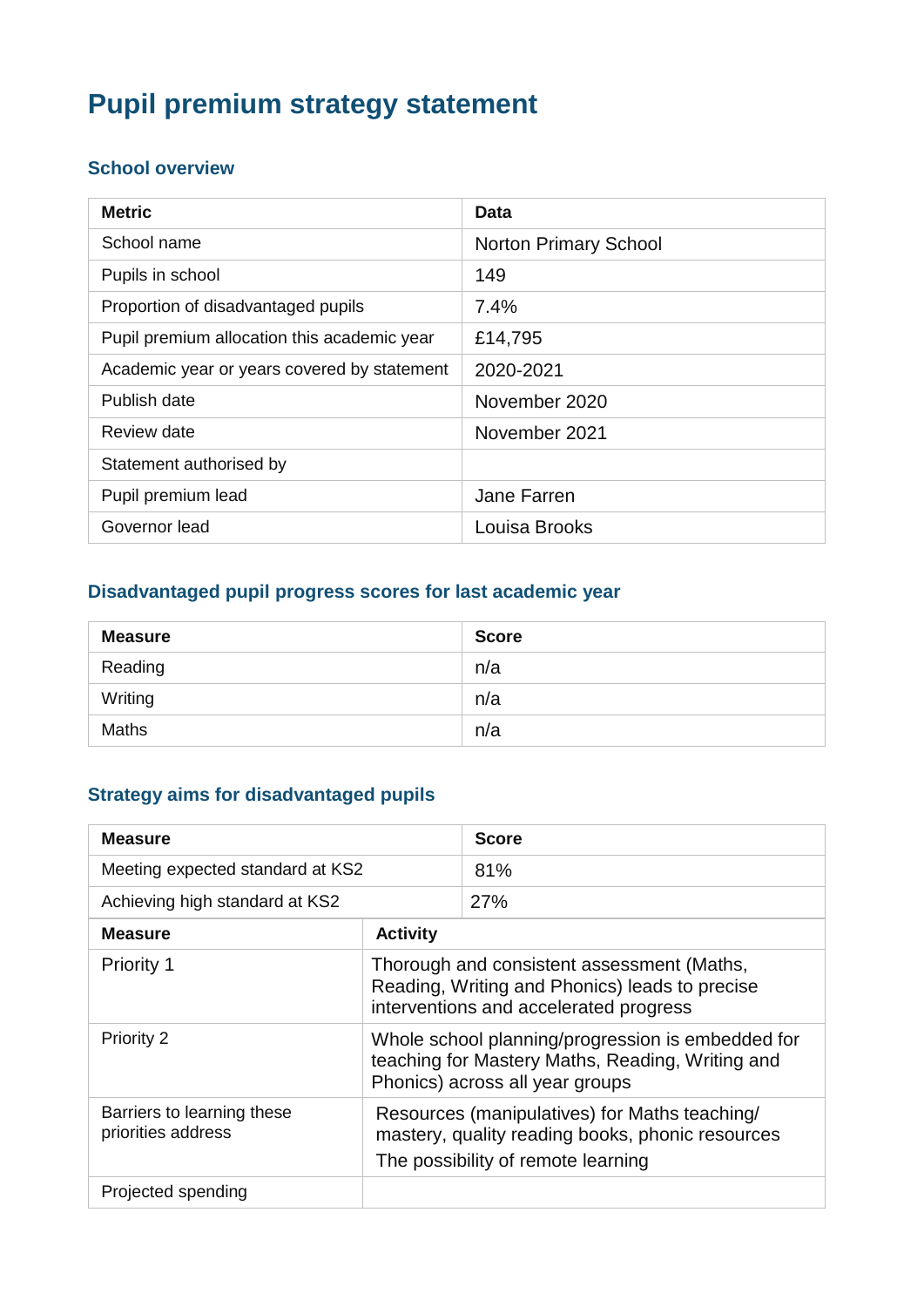# **Pupil premium strategy statement**

### **School overview**

| <b>Metric</b>                               | Data                         |
|---------------------------------------------|------------------------------|
| School name                                 | <b>Norton Primary School</b> |
| Pupils in school                            | 149                          |
| Proportion of disadvantaged pupils          | 7.4%                         |
| Pupil premium allocation this academic year | £14,795                      |
| Academic year or years covered by statement | 2020-2021                    |
| Publish date                                | November 2020                |
| Review date                                 | November 2021                |
| Statement authorised by                     |                              |
| Pupil premium lead                          | Jane Farren                  |
| Governor lead                               | Louisa Brooks                |

### **Disadvantaged pupil progress scores for last academic year**

| <b>Measure</b> | <b>Score</b> |
|----------------|--------------|
| Reading        | n/a          |
| Writing        | n/a          |
| <b>Maths</b>   | n/a          |

## **Strategy aims for disadvantaged pupils**

| <b>Measure</b>                                   |                                                                                                                                          | <b>Score</b> |
|--------------------------------------------------|------------------------------------------------------------------------------------------------------------------------------------------|--------------|
| Meeting expected standard at KS2                 |                                                                                                                                          | 81%          |
| Achieving high standard at KS2                   |                                                                                                                                          | 27%          |
| <b>Measure</b>                                   | <b>Activity</b>                                                                                                                          |              |
| <b>Priority 1</b>                                | Thorough and consistent assessment (Maths,<br>Reading, Writing and Phonics) leads to precise<br>interventions and accelerated progress   |              |
| Priority 2                                       | Whole school planning/progression is embedded for<br>teaching for Mastery Maths, Reading, Writing and<br>Phonics) across all year groups |              |
| Barriers to learning these<br>priorities address | Resources (manipulatives) for Maths teaching/<br>mastery, quality reading books, phonic resources<br>The possibility of remote learning  |              |
| Projected spending                               |                                                                                                                                          |              |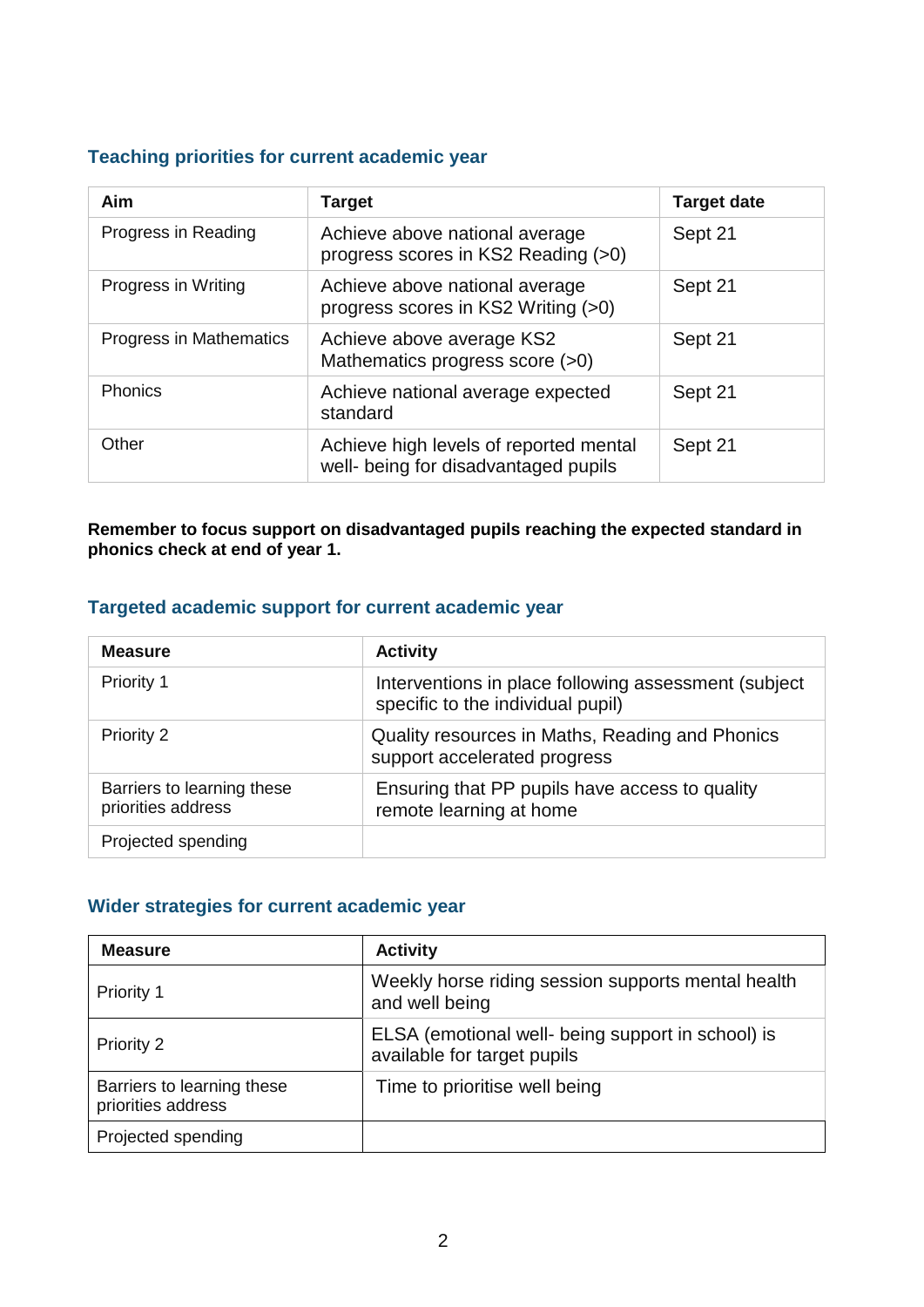#### **Teaching priorities for current academic year**

| Aim                     | <b>Target</b>                                                                  | <b>Target date</b> |
|-------------------------|--------------------------------------------------------------------------------|--------------------|
| Progress in Reading     | Achieve above national average<br>progress scores in KS2 Reading (>0)          | Sept 21            |
| Progress in Writing     | Achieve above national average<br>progress scores in KS2 Writing (>0)          | Sept 21            |
| Progress in Mathematics | Achieve above average KS2<br>Mathematics progress score (>0)                   | Sept 21            |
| <b>Phonics</b>          | Achieve national average expected<br>standard                                  | Sept 21            |
| Other                   | Achieve high levels of reported mental<br>well- being for disadvantaged pupils | Sept 21            |

**Remember to focus support on disadvantaged pupils reaching the expected standard in phonics check at end of year 1.**

#### **Targeted academic support for current academic year**

| <b>Measure</b>                                   | <b>Activity</b>                                                                           |
|--------------------------------------------------|-------------------------------------------------------------------------------------------|
| <b>Priority 1</b>                                | Interventions in place following assessment (subject<br>specific to the individual pupil) |
| Priority 2                                       | Quality resources in Maths, Reading and Phonics<br>support accelerated progress           |
| Barriers to learning these<br>priorities address | Ensuring that PP pupils have access to quality<br>remote learning at home                 |
| Projected spending                               |                                                                                           |

#### **Wider strategies for current academic year**

| <b>Measure</b>                                   | <b>Activity</b>                                                                  |
|--------------------------------------------------|----------------------------------------------------------------------------------|
| <b>Priority 1</b>                                | Weekly horse riding session supports mental health<br>and well being             |
| Priority 2                                       | ELSA (emotional well- being support in school) is<br>available for target pupils |
| Barriers to learning these<br>priorities address | Time to prioritise well being                                                    |
| Projected spending                               |                                                                                  |